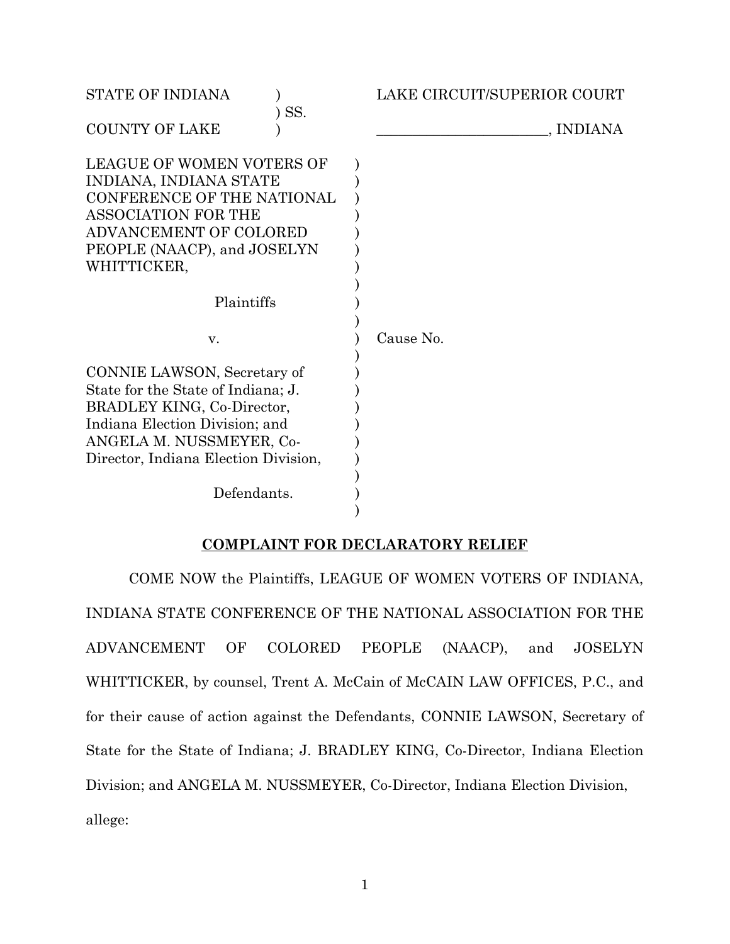| <b>STATE OF INDIANA</b>                                                                                                                                                                                              | LAKE CIRCUIT/SUPERIOR COURT |
|----------------------------------------------------------------------------------------------------------------------------------------------------------------------------------------------------------------------|-----------------------------|
| SS.<br><b>COUNTY OF LAKE</b>                                                                                                                                                                                         | , INDIANA                   |
| <b>LEAGUE OF WOMEN VOTERS OF</b><br>INDIANA, INDIANA STATE<br><b>CONFERENCE OF THE NATIONAL</b><br><b>ASSOCIATION FOR THE</b><br>ADVANCEMENT OF COLORED<br>PEOPLE (NAACP), and JOSELYN<br>WHITTICKER,<br>Plaintiffs  |                             |
| V.                                                                                                                                                                                                                   | Cause No.                   |
| CONNIE LAWSON, Secretary of<br>State for the State of Indiana; J.<br>BRADLEY KING, Co-Director,<br>Indiana Election Division; and<br>ANGELA M. NUSSMEYER, Co-<br>Director, Indiana Election Division,<br>Defendants. |                             |

# **COMPLAINT FOR DECLARATORY RELIEF**

COME NOW the Plaintiffs, LEAGUE OF WOMEN VOTERS OF INDIANA, INDIANA STATE CONFERENCE OF THE NATIONAL ASSOCIATION FOR THE ADVANCEMENT OF COLORED PEOPLE (NAACP), and JOSELYN WHITTICKER, by counsel, Trent A. McCain of McCAIN LAW OFFICES, P.C., and for their cause of action against the Defendants, CONNIE LAWSON, Secretary of State for the State of Indiana; J. BRADLEY KING, Co-Director, Indiana Election Division; and ANGELA M. NUSSMEYER, Co-Director, Indiana Election Division, allege: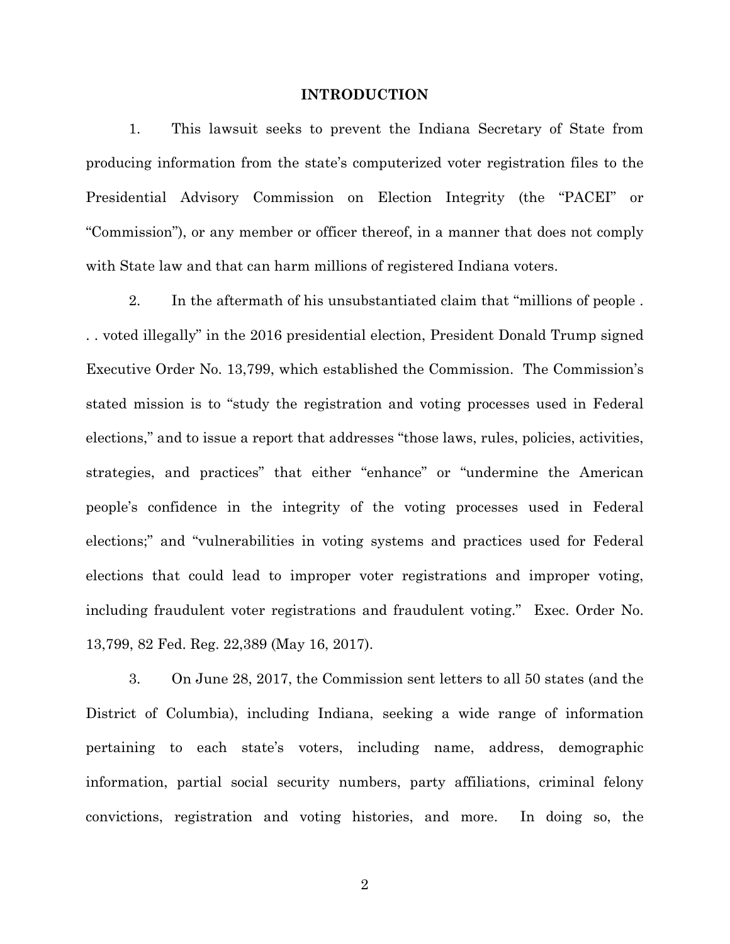#### **INTRODUCTION**

1. This lawsuit seeks to prevent the Indiana Secretary of State from producing information from the state's computerized voter registration files to the Presidential Advisory Commission on Election Integrity (the "PACEI" or "Commission"), or any member or officer thereof, in a manner that does not comply with State law and that can harm millions of registered Indiana voters.

2. In the aftermath of his unsubstantiated claim that "millions of people . . . voted illegally" in the 2016 presidential election, President Donald Trump signed Executive Order No. 13,799, which established the Commission. The Commission's stated mission is to "study the registration and voting processes used in Federal elections," and to issue a report that addresses "those laws, rules, policies, activities, strategies, and practices" that either "enhance" or "undermine the American people's confidence in the integrity of the voting processes used in Federal elections;" and "vulnerabilities in voting systems and practices used for Federal elections that could lead to improper voter registrations and improper voting, including fraudulent voter registrations and fraudulent voting." Exec. Order No. 13,799, 82 Fed. Reg. 22,389 (May 16, 2017).

3. On June 28, 2017, the Commission sent letters to all 50 states (and the District of Columbia), including Indiana, seeking a wide range of information pertaining to each state's voters, including name, address, demographic information, partial social security numbers, party affiliations, criminal felony convictions, registration and voting histories, and more. In doing so, the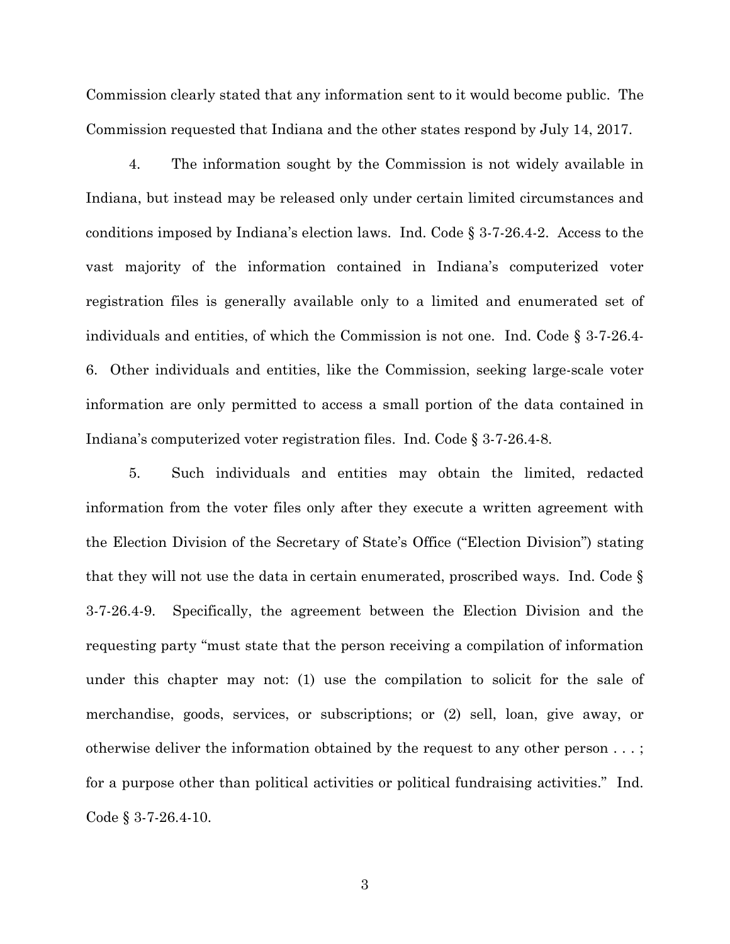Commission clearly stated that any information sent to it would become public. The Commission requested that Indiana and the other states respond by July 14, 2017.

4. The information sought by the Commission is not widely available in Indiana, but instead may be released only under certain limited circumstances and conditions imposed by Indiana's election laws. Ind. Code § 3-7-26.4-2. Access to the vast majority of the information contained in Indiana's computerized voter registration files is generally available only to a limited and enumerated set of individuals and entities, of which the Commission is not one. Ind. Code § 3-7-26.4- 6. Other individuals and entities, like the Commission, seeking large-scale voter information are only permitted to access a small portion of the data contained in Indiana's computerized voter registration files. Ind. Code § 3-7-26.4-8.

5. Such individuals and entities may obtain the limited, redacted information from the voter files only after they execute a written agreement with the Election Division of the Secretary of State's Office ("Election Division") stating that they will not use the data in certain enumerated, proscribed ways. Ind. Code § 3-7-26.4-9. Specifically, the agreement between the Election Division and the requesting party "must state that the person receiving a compilation of information under this chapter may not: (1) use the compilation to solicit for the sale of merchandise, goods, services, or subscriptions; or (2) sell, loan, give away, or otherwise deliver the information obtained by the request to any other person . . . ; for a purpose other than political activities or political fundraising activities." Ind. Code § 3-7-26.4-10.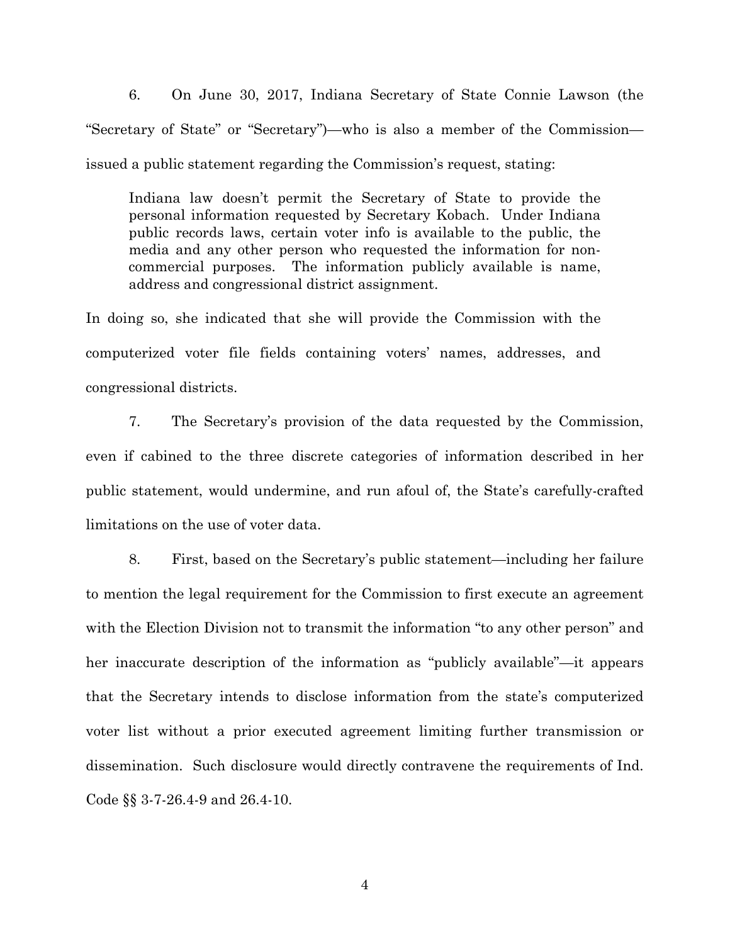6. On June 30, 2017, Indiana Secretary of State Connie Lawson (the "Secretary of State" or "Secretary")—who is also a member of the Commission issued a public statement regarding the Commission's request, stating:

Indiana law doesn't permit the Secretary of State to provide the personal information requested by Secretary Kobach. Under Indiana public records laws, certain voter info is available to the public, the media and any other person who requested the information for noncommercial purposes. The information publicly available is name, address and congressional district assignment.

In doing so, she indicated that she will provide the Commission with the computerized voter file fields containing voters' names, addresses, and congressional districts.

7. The Secretary's provision of the data requested by the Commission, even if cabined to the three discrete categories of information described in her public statement, would undermine, and run afoul of, the State's carefully-crafted limitations on the use of voter data.

8. First, based on the Secretary's public statement—including her failure to mention the legal requirement for the Commission to first execute an agreement with the Election Division not to transmit the information "to any other person" and her inaccurate description of the information as "publicly available"—it appears that the Secretary intends to disclose information from the state's computerized voter list without a prior executed agreement limiting further transmission or dissemination. Such disclosure would directly contravene the requirements of Ind. Code §§ 3-7-26.4-9 and 26.4-10.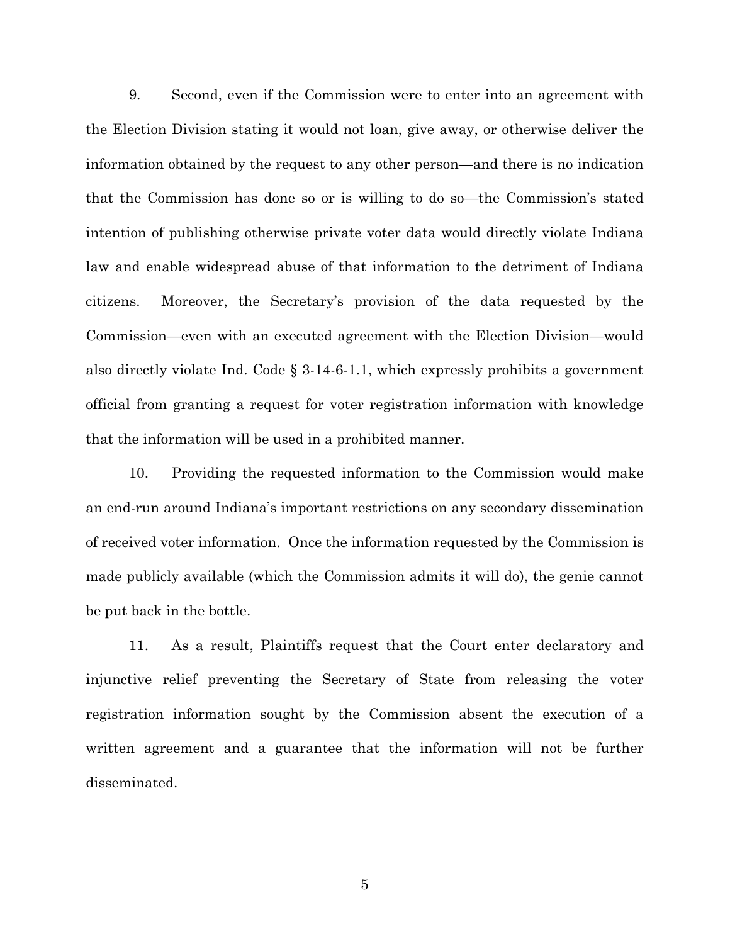9. Second, even if the Commission were to enter into an agreement with the Election Division stating it would not loan, give away, or otherwise deliver the information obtained by the request to any other person—and there is no indication that the Commission has done so or is willing to do so—the Commission's stated intention of publishing otherwise private voter data would directly violate Indiana law and enable widespread abuse of that information to the detriment of Indiana citizens. Moreover, the Secretary's provision of the data requested by the Commission—even with an executed agreement with the Election Division—would also directly violate Ind. Code  $\S$  3-14-6-1.1, which expressly prohibits a government official from granting a request for voter registration information with knowledge that the information will be used in a prohibited manner.

10. Providing the requested information to the Commission would make an end-run around Indiana's important restrictions on any secondary dissemination of received voter information. Once the information requested by the Commission is made publicly available (which the Commission admits it will do), the genie cannot be put back in the bottle.

11. As a result, Plaintiffs request that the Court enter declaratory and injunctive relief preventing the Secretary of State from releasing the voter registration information sought by the Commission absent the execution of a written agreement and a guarantee that the information will not be further disseminated.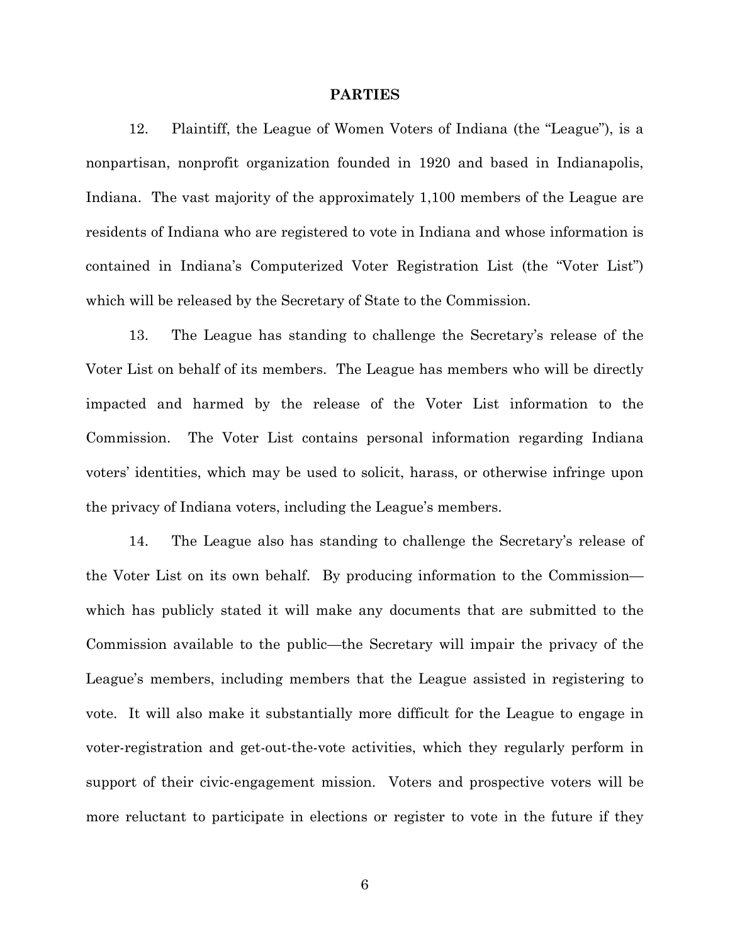#### **PARTIES**

12. Plaintiff, the League of Women Voters of Indiana (the "League"), is a nonpartisan, nonprofit organization founded in 1920 and based in Indianapolis, Indiana. The vast majority of the approximately 1,100 members of the League are residents of Indiana who are registered to vote in Indiana and whose information is contained in Indiana's Computerized Voter Registration List (the "Voter List") which will be released by the Secretary of State to the Commission.

13. The League has standing to challenge the Secretary's release of the Voter List on behalf of its members. The League has members who will be directly impacted and harmed by the release of the Voter List information to the Commission. The Voter List contains personal information regarding Indiana voters' identities, which may be used to solicit, harass, or otherwise infringe upon the privacy of Indiana voters, including the League's members.

14. The League also has standing to challenge the Secretary's release of the Voter List on its own behalf. By producing information to the Commission which has publicly stated it will make any documents that are submitted to the Commission available to the public—the Secretary will impair the privacy of the League's members, including members that the League assisted in registering to vote. It will also make it substantially more difficult for the League to engage in voter-registration and get-out-the-vote activities, which they regularly perform in support of their civic-engagement mission. Voters and prospective voters will be more reluctant to participate in elections or register to vote in the future if they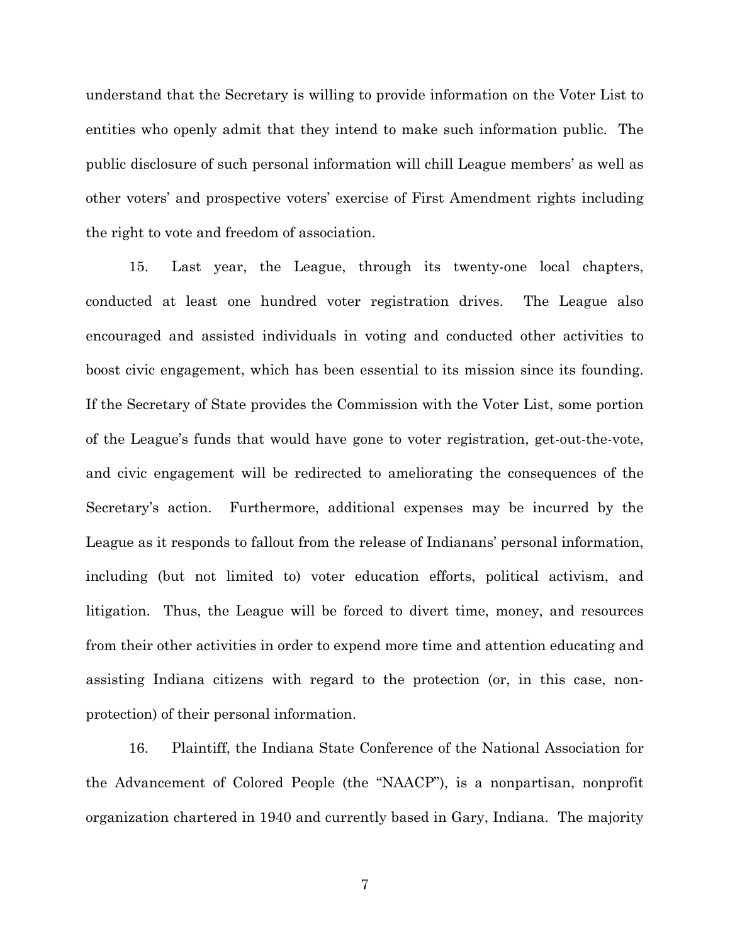understand that the Secretary is willing to provide information on the Voter List to entities who openly admit that they intend to make such information public. The public disclosure of such personal information will chill League members' as well as other voters' and prospective voters' exercise of First Amendment rights including the right to vote and freedom of association.

15. Last year, the League, through its twenty-one local chapters, conducted at least one hundred voter registration drives. The League also encouraged and assisted individuals in voting and conducted other activities to boost civic engagement, which has been essential to its mission since its founding. If the Secretary of State provides the Commission with the Voter List, some portion of the League's funds that would have gone to voter registration, get-out-the-vote, and civic engagement will be redirected to ameliorating the consequences of the Secretary's action. Furthermore, additional expenses may be incurred by the League as it responds to fallout from the release of Indianans' personal information, including (but not limited to) voter education efforts, political activism, and litigation. Thus, the League will be forced to divert time, money, and resources from their other activities in order to expend more time and attention educating and assisting Indiana citizens with regard to the protection (or, in this case, nonprotection) of their personal information.

16. Plaintiff, the Indiana State Conference of the National Association for the Advancement of Colored People (the "NAACP"), is a nonpartisan, nonprofit organization chartered in 1940 and currently based in Gary, Indiana. The majority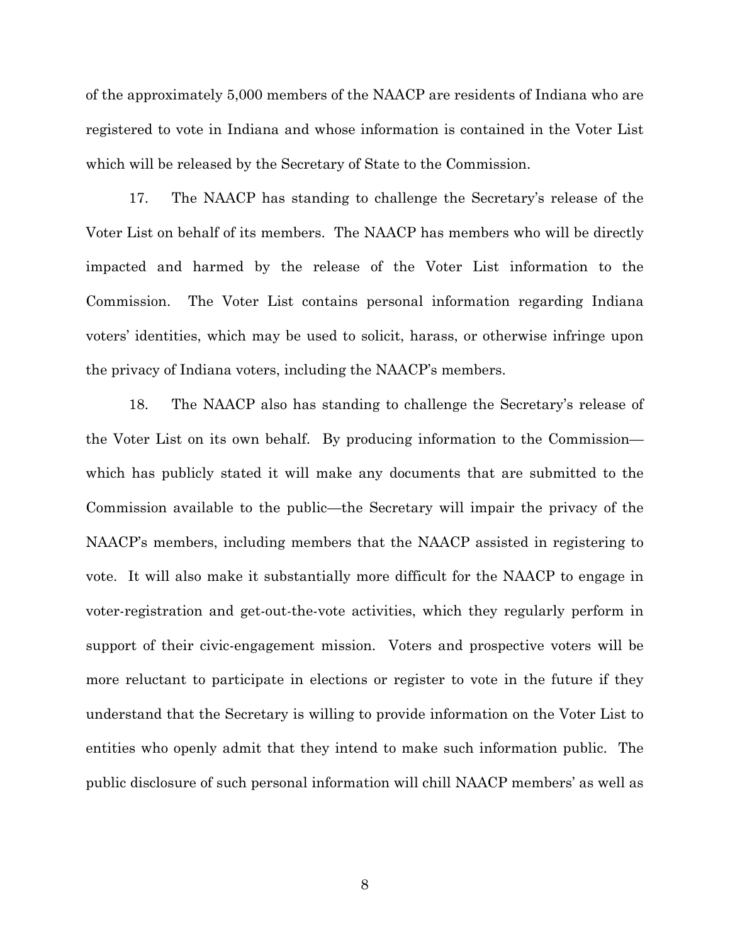of the approximately 5,000 members of the NAACP are residents of Indiana who are registered to vote in Indiana and whose information is contained in the Voter List which will be released by the Secretary of State to the Commission.

17. The NAACP has standing to challenge the Secretary's release of the Voter List on behalf of its members. The NAACP has members who will be directly impacted and harmed by the release of the Voter List information to the Commission. The Voter List contains personal information regarding Indiana voters' identities, which may be used to solicit, harass, or otherwise infringe upon the privacy of Indiana voters, including the NAACP's members.

18. The NAACP also has standing to challenge the Secretary's release of the Voter List on its own behalf. By producing information to the Commission which has publicly stated it will make any documents that are submitted to the Commission available to the public—the Secretary will impair the privacy of the NAACP's members, including members that the NAACP assisted in registering to vote. It will also make it substantially more difficult for the NAACP to engage in voter-registration and get-out-the-vote activities, which they regularly perform in support of their civic-engagement mission. Voters and prospective voters will be more reluctant to participate in elections or register to vote in the future if they understand that the Secretary is willing to provide information on the Voter List to entities who openly admit that they intend to make such information public. The public disclosure of such personal information will chill NAACP members' as well as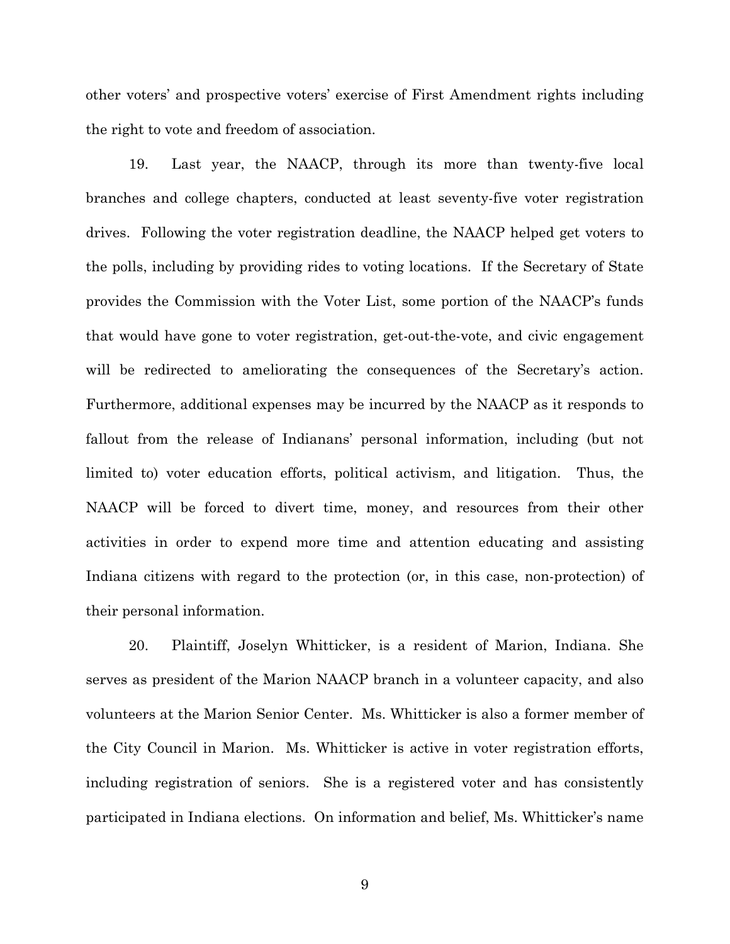other voters' and prospective voters' exercise of First Amendment rights including the right to vote and freedom of association.

19. Last year, the NAACP, through its more than twenty-five local branches and college chapters, conducted at least seventy-five voter registration drives. Following the voter registration deadline, the NAACP helped get voters to the polls, including by providing rides to voting locations. If the Secretary of State provides the Commission with the Voter List, some portion of the NAACP's funds that would have gone to voter registration, get-out-the-vote, and civic engagement will be redirected to ameliorating the consequences of the Secretary's action. Furthermore, additional expenses may be incurred by the NAACP as it responds to fallout from the release of Indianans' personal information, including (but not limited to) voter education efforts, political activism, and litigation. Thus, the NAACP will be forced to divert time, money, and resources from their other activities in order to expend more time and attention educating and assisting Indiana citizens with regard to the protection (or, in this case, non-protection) of their personal information.

20. Plaintiff, Joselyn Whitticker, is a resident of Marion, Indiana. She serves as president of the Marion NAACP branch in a volunteer capacity, and also volunteers at the Marion Senior Center. Ms. Whitticker is also a former member of the City Council in Marion. Ms. Whitticker is active in voter registration efforts, including registration of seniors. She is a registered voter and has consistently participated in Indiana elections. On information and belief, Ms. Whitticker's name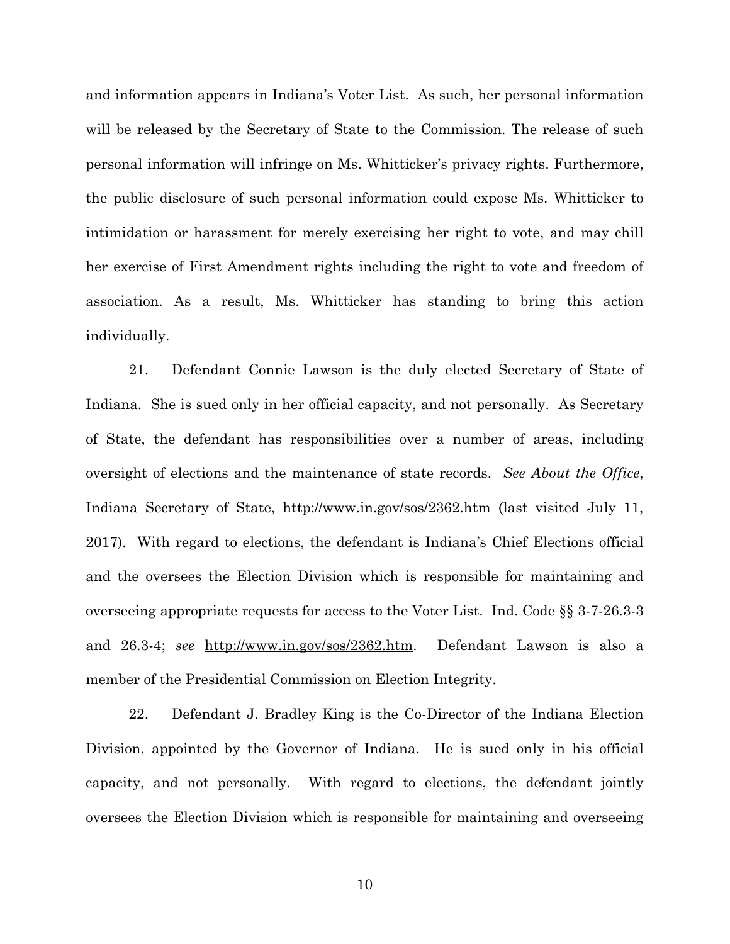and information appears in Indiana's Voter List. As such, her personal information will be released by the Secretary of State to the Commission. The release of such personal information will infringe on Ms. Whitticker's privacy rights. Furthermore, the public disclosure of such personal information could expose Ms. Whitticker to intimidation or harassment for merely exercising her right to vote, and may chill her exercise of First Amendment rights including the right to vote and freedom of association. As a result, Ms. Whitticker has standing to bring this action individually.

21. Defendant Connie Lawson is the duly elected Secretary of State of Indiana. She is sued only in her official capacity, and not personally. As Secretary of State, the defendant has responsibilities over a number of areas, including oversight of elections and the maintenance of state records. *See About the Office*, Indiana Secretary of State, http://www.in.gov/sos/2362.htm (last visited July 11, 2017). With regard to elections, the defendant is Indiana's Chief Elections official and the oversees the Election Division which is responsible for maintaining and overseeing appropriate requests for access to the Voter List. Ind. Code §§ 3-7-26.3-3 and 26.3-4; *see* http://www.in.gov/sos/2362.htm. Defendant Lawson is also a member of the Presidential Commission on Election Integrity.

22. Defendant J. Bradley King is the Co-Director of the Indiana Election Division, appointed by the Governor of Indiana. He is sued only in his official capacity, and not personally. With regard to elections, the defendant jointly oversees the Election Division which is responsible for maintaining and overseeing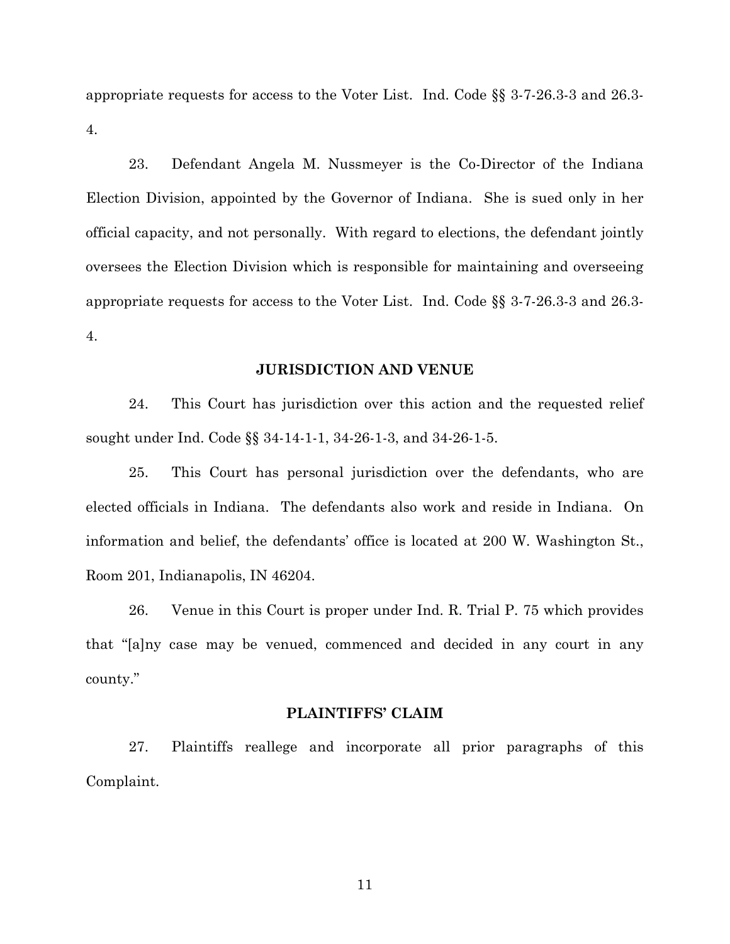appropriate requests for access to the Voter List. Ind. Code §§ 3-7-26.3-3 and 26.3- 4.

23. Defendant Angela M. Nussmeyer is the Co-Director of the Indiana Election Division, appointed by the Governor of Indiana. She is sued only in her official capacity, and not personally. With regard to elections, the defendant jointly oversees the Election Division which is responsible for maintaining and overseeing appropriate requests for access to the Voter List. Ind. Code §§ 3-7-26.3-3 and 26.3- 4.

## **JURISDICTION AND VENUE**

24. This Court has jurisdiction over this action and the requested relief sought under Ind. Code §§ 34-14-1-1, 34-26-1-3, and 34-26-1-5.

25. This Court has personal jurisdiction over the defendants, who are elected officials in Indiana. The defendants also work and reside in Indiana. On information and belief, the defendants' office is located at 200 W. Washington St., Room 201, Indianapolis, IN 46204.

26. Venue in this Court is proper under Ind. R. Trial P. 75 which provides that "[a]ny case may be venued, commenced and decided in any court in any county."

## **PLAINTIFFS' CLAIM**

27. Plaintiffs reallege and incorporate all prior paragraphs of this Complaint.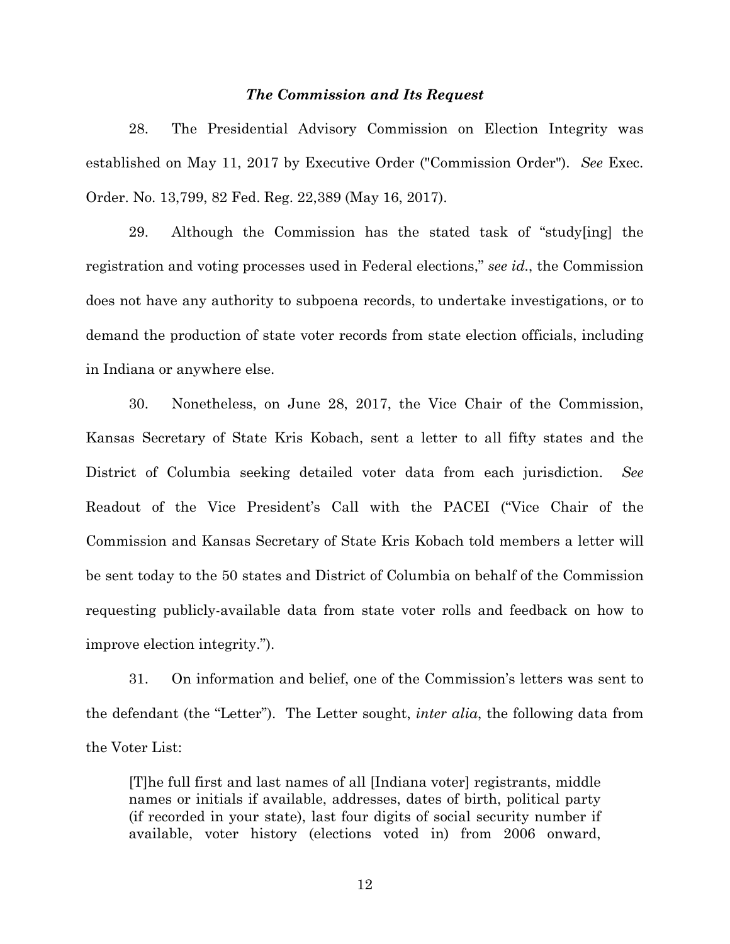## *The Commission and Its Request*

28. The Presidential Advisory Commission on Election Integrity was established on May 11, 2017 by Executive Order ("Commission Order"). *See* Exec. Order. No. 13,799, 82 Fed. Reg. 22,389 (May 16, 2017).

29. Although the Commission has the stated task of "study[ing] the registration and voting processes used in Federal elections," *see id.*, the Commission does not have any authority to subpoena records, to undertake investigations, or to demand the production of state voter records from state election officials, including in Indiana or anywhere else.

30. Nonetheless, on June 28, 2017, the Vice Chair of the Commission, Kansas Secretary of State Kris Kobach, sent a letter to all fifty states and the District of Columbia seeking detailed voter data from each jurisdiction. *See*  Readout of the Vice President's Call with the PACEI ("Vice Chair of the Commission and Kansas Secretary of State Kris Kobach told members a letter will be sent today to the 50 states and District of Columbia on behalf of the Commission requesting publicly-available data from state voter rolls and feedback on how to improve election integrity.").

31. On information and belief, one of the Commission's letters was sent to the defendant (the "Letter"). The Letter sought, *inter alia*, the following data from the Voter List:

[T]he full first and last names of all [Indiana voter] registrants, middle names or initials if available, addresses, dates of birth, political party (if recorded in your state), last four digits of social security number if available, voter history (elections voted in) from 2006 onward,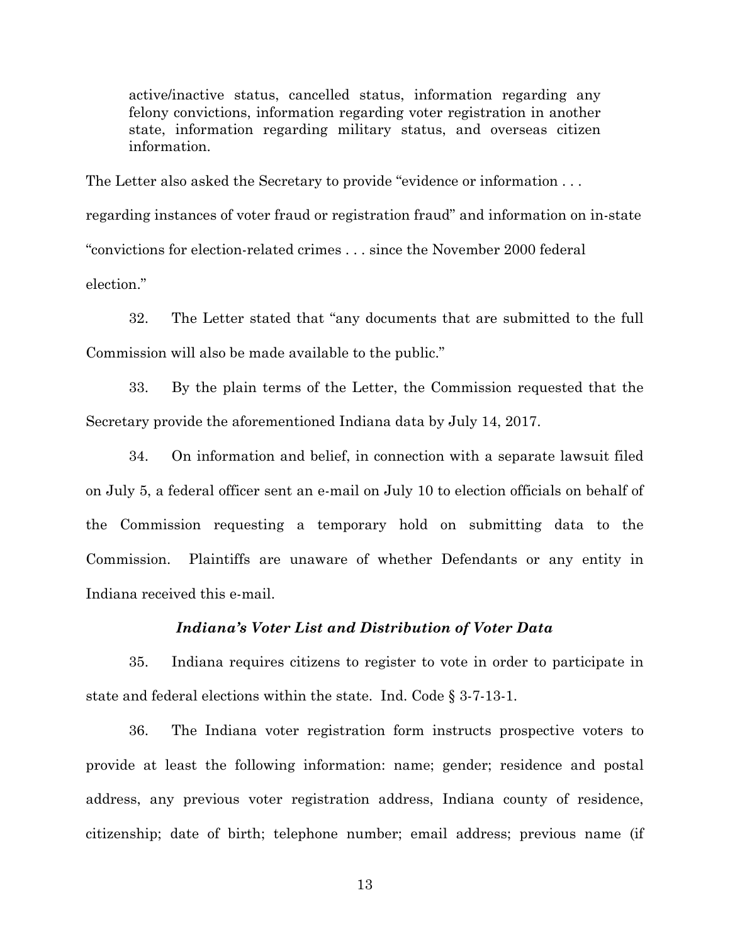active/inactive status, cancelled status, information regarding any felony convictions, information regarding voter registration in another state, information regarding military status, and overseas citizen information.

The Letter also asked the Secretary to provide "evidence or information . . . regarding instances of voter fraud or registration fraud" and information on in-state "convictions for election-related crimes . . . since the November 2000 federal election"

32. The Letter stated that "any documents that are submitted to the full Commission will also be made available to the public."

33. By the plain terms of the Letter, the Commission requested that the Secretary provide the aforementioned Indiana data by July 14, 2017.

34. On information and belief, in connection with a separate lawsuit filed on July 5, a federal officer sent an e-mail on July 10 to election officials on behalf of the Commission requesting a temporary hold on submitting data to the Commission. Plaintiffs are unaware of whether Defendants or any entity in Indiana received this e-mail.

## *Indiana's Voter List and Distribution of Voter Data*

35. Indiana requires citizens to register to vote in order to participate in state and federal elections within the state. Ind. Code § 3-7-13-1.

36. The Indiana voter registration form instructs prospective voters to provide at least the following information: name; gender; residence and postal address, any previous voter registration address, Indiana county of residence, citizenship; date of birth; telephone number; email address; previous name (if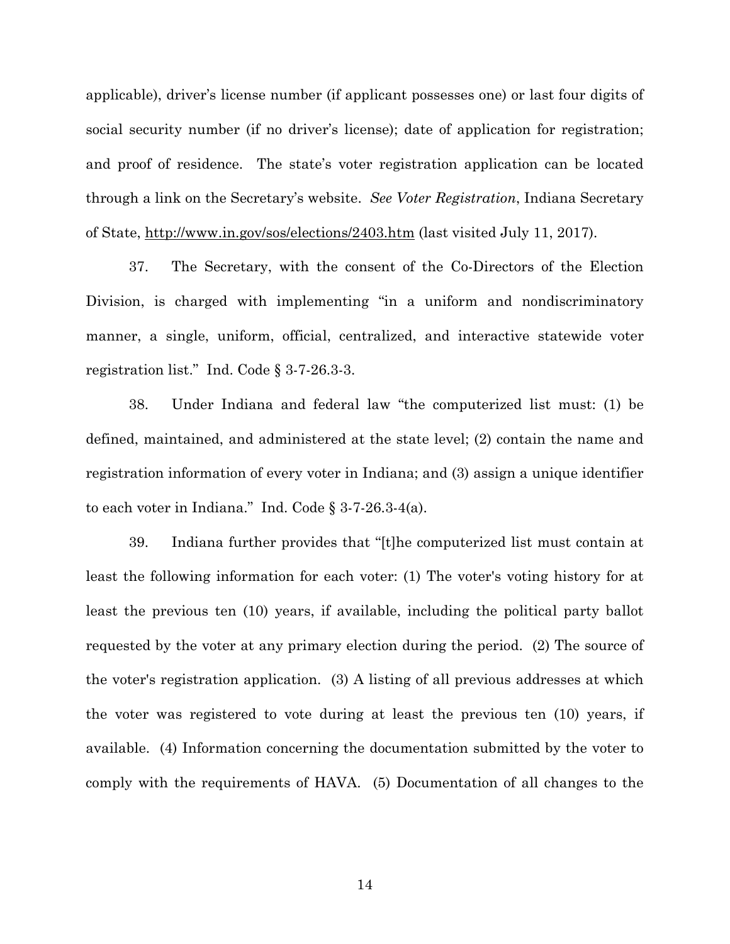applicable), driver's license number (if applicant possesses one) or last four digits of social security number (if no driver's license); date of application for registration; and proof of residence. The state's voter registration application can be located through a link on the Secretary's website. *See Voter Registration*, Indiana Secretary of State, http://www.in.gov/sos/elections/2403.htm (last visited July 11, 2017).

37. The Secretary, with the consent of the Co-Directors of the Election Division, is charged with implementing "in a uniform and nondiscriminatory manner, a single, uniform, official, centralized, and interactive statewide voter registration list." Ind. Code § 3-7-26.3-3.

38. Under Indiana and federal law "the computerized list must: (1) be defined, maintained, and administered at the state level; (2) contain the name and registration information of every voter in Indiana; and (3) assign a unique identifier to each voter in Indiana." Ind. Code § 3-7-26.3-4(a).

39. Indiana further provides that "[t]he computerized list must contain at least the following information for each voter: (1) The voter's voting history for at least the previous ten (10) years, if available, including the political party ballot requested by the voter at any primary election during the period. (2) The source of the voter's registration application. (3) A listing of all previous addresses at which the voter was registered to vote during at least the previous ten (10) years, if available. (4) Information concerning the documentation submitted by the voter to comply with the requirements of HAVA. (5) Documentation of all changes to the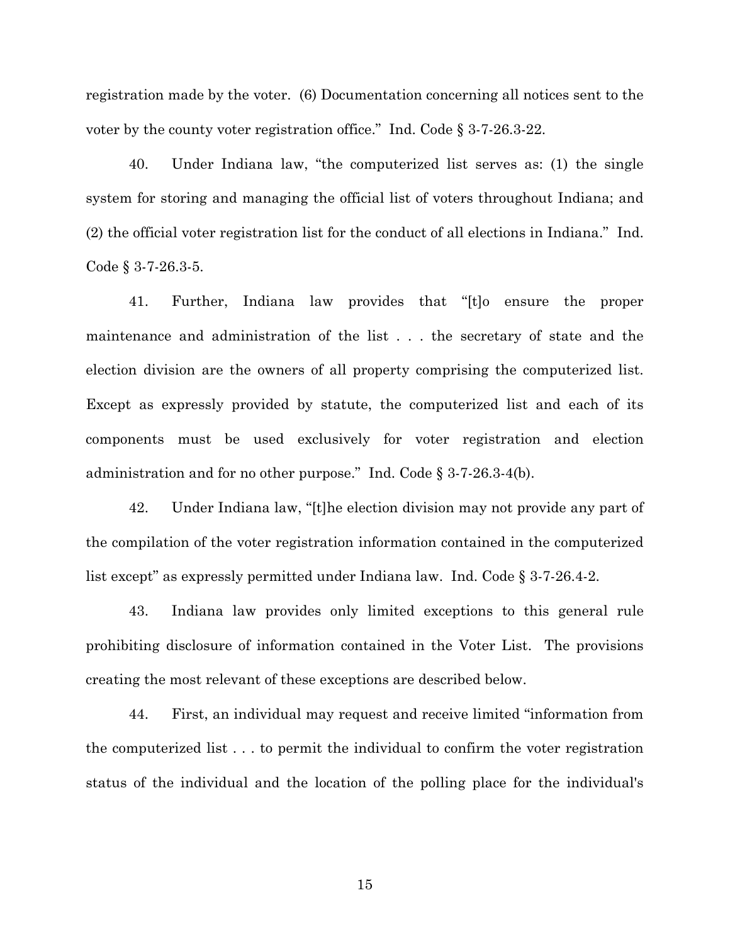registration made by the voter. (6) Documentation concerning all notices sent to the voter by the county voter registration office." Ind. Code § 3-7-26.3-22.

40. Under Indiana law, "the computerized list serves as: (1) the single system for storing and managing the official list of voters throughout Indiana; and (2) the official voter registration list for the conduct of all elections in Indiana." Ind. Code § 3-7-26.3-5.

41. Further, Indiana law provides that "[t]o ensure the proper maintenance and administration of the list . . . the secretary of state and the election division are the owners of all property comprising the computerized list. Except as expressly provided by statute, the computerized list and each of its components must be used exclusively for voter registration and election administration and for no other purpose." Ind. Code § 3-7-26.3-4(b).

42. Under Indiana law, "[t]he election division may not provide any part of the compilation of the voter registration information contained in the computerized list except" as expressly permitted under Indiana law. Ind. Code § 3-7-26.4-2.

43. Indiana law provides only limited exceptions to this general rule prohibiting disclosure of information contained in the Voter List. The provisions creating the most relevant of these exceptions are described below.

44. First, an individual may request and receive limited "information from the computerized list . . . to permit the individual to confirm the voter registration status of the individual and the location of the polling place for the individual's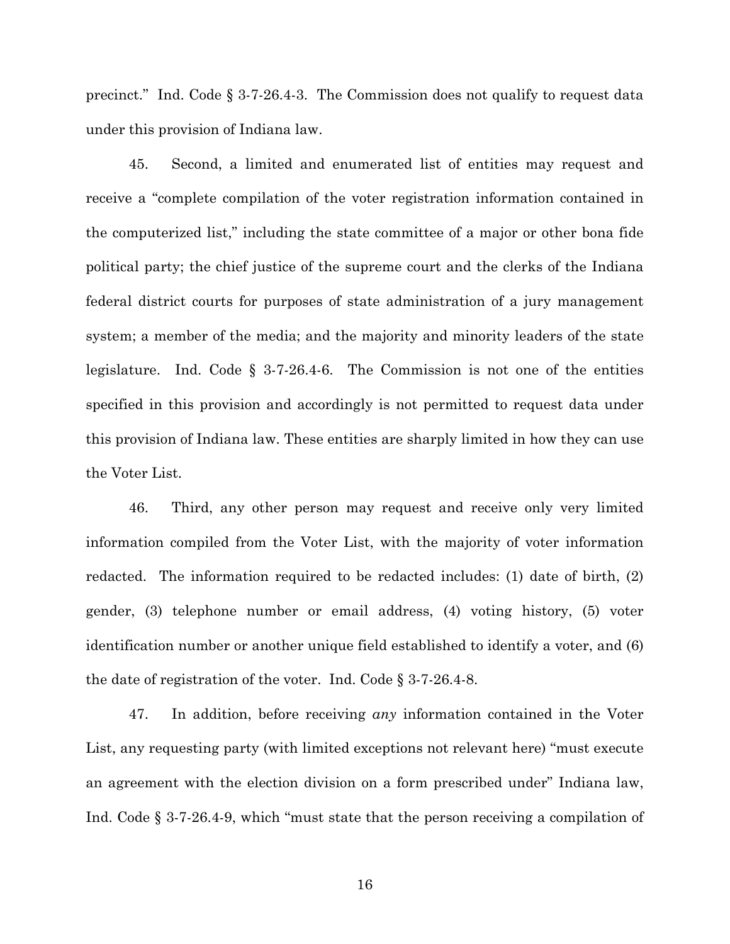precinct." Ind. Code § 3-7-26.4-3. The Commission does not qualify to request data under this provision of Indiana law.

45. Second, a limited and enumerated list of entities may request and receive a "complete compilation of the voter registration information contained in the computerized list," including the state committee of a major or other bona fide political party; the chief justice of the supreme court and the clerks of the Indiana federal district courts for purposes of state administration of a jury management system; a member of the media; and the majority and minority leaders of the state legislature. Ind. Code § 3-7-26.4-6. The Commission is not one of the entities specified in this provision and accordingly is not permitted to request data under this provision of Indiana law. These entities are sharply limited in how they can use the Voter List.

46. Third, any other person may request and receive only very limited information compiled from the Voter List, with the majority of voter information redacted. The information required to be redacted includes: (1) date of birth, (2) gender, (3) telephone number or email address, (4) voting history, (5) voter identification number or another unique field established to identify a voter, and (6) the date of registration of the voter. Ind. Code § 3-7-26.4-8.

47. In addition, before receiving *any* information contained in the Voter List, any requesting party (with limited exceptions not relevant here) "must execute an agreement with the election division on a form prescribed under" Indiana law, Ind. Code § 3-7-26.4-9, which "must state that the person receiving a compilation of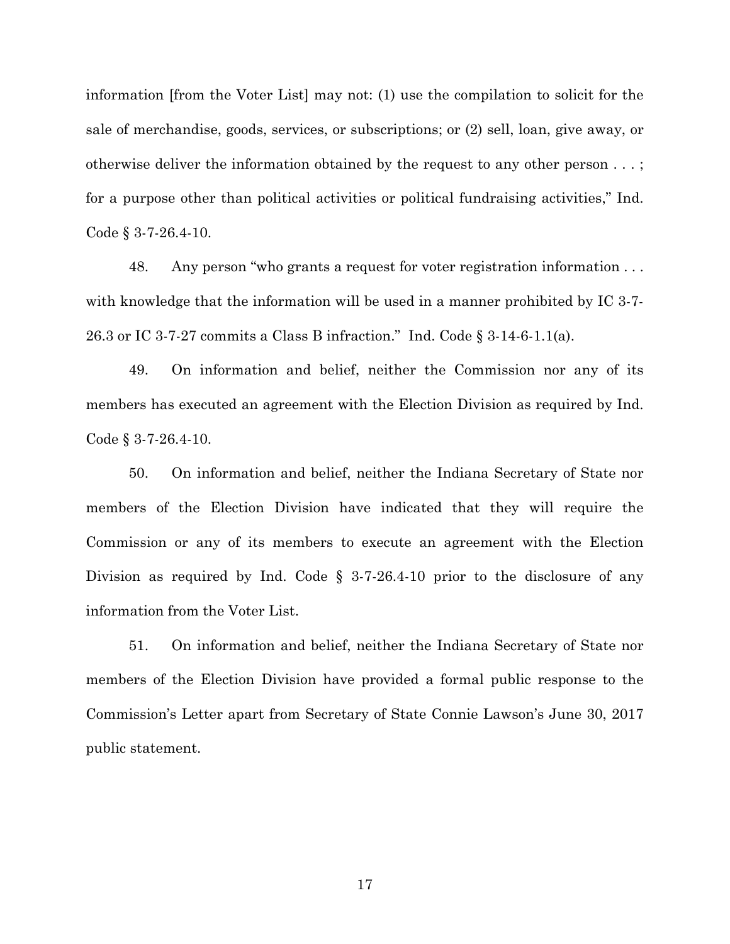information [from the Voter List] may not: (1) use the compilation to solicit for the sale of merchandise, goods, services, or subscriptions; or (2) sell, loan, give away, or otherwise deliver the information obtained by the request to any other person . . . ; for a purpose other than political activities or political fundraising activities," Ind. Code § 3-7-26.4-10.

48. Any person "who grants a request for voter registration information . . . with knowledge that the information will be used in a manner prohibited by IC 3-7-26.3 or IC 3-7-27 commits a Class B infraction." Ind. Code § 3-14-6-1.1(a).

49. On information and belief, neither the Commission nor any of its members has executed an agreement with the Election Division as required by Ind. Code § 3-7-26.4-10.

50. On information and belief, neither the Indiana Secretary of State nor members of the Election Division have indicated that they will require the Commission or any of its members to execute an agreement with the Election Division as required by Ind. Code § 3-7-26.4-10 prior to the disclosure of any information from the Voter List.

51. On information and belief, neither the Indiana Secretary of State nor members of the Election Division have provided a formal public response to the Commission's Letter apart from Secretary of State Connie Lawson's June 30, 2017 public statement.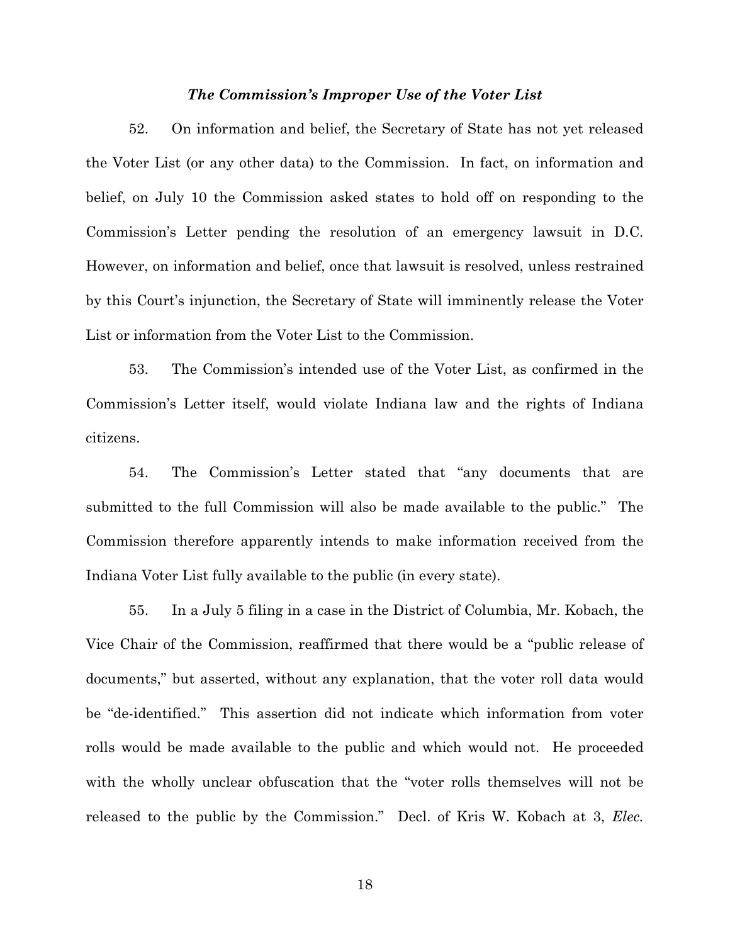## *The Commission's Improper Use of the Voter List*

52. On information and belief, the Secretary of State has not yet released the Voter List (or any other data) to the Commission. In fact, on information and belief, on July 10 the Commission asked states to hold off on responding to the Commission's Letter pending the resolution of an emergency lawsuit in D.C. However, on information and belief, once that lawsuit is resolved, unless restrained by this Court's injunction, the Secretary of State will imminently release the Voter List or information from the Voter List to the Commission.

53. The Commission's intended use of the Voter List, as confirmed in the Commission's Letter itself, would violate Indiana law and the rights of Indiana citizens.

54. The Commission's Letter stated that "any documents that are submitted to the full Commission will also be made available to the public." The Commission therefore apparently intends to make information received from the Indiana Voter List fully available to the public (in every state).

55. In a July 5 filing in a case in the District of Columbia, Mr. Kobach, the Vice Chair of the Commission, reaffirmed that there would be a "public release of documents," but asserted, without any explanation, that the voter roll data would be "de-identified." This assertion did not indicate which information from voter rolls would be made available to the public and which would not. He proceeded with the wholly unclear obfuscation that the "voter rolls themselves will not be released to the public by the Commission." Decl. of Kris W. Kobach at 3, *Elec.*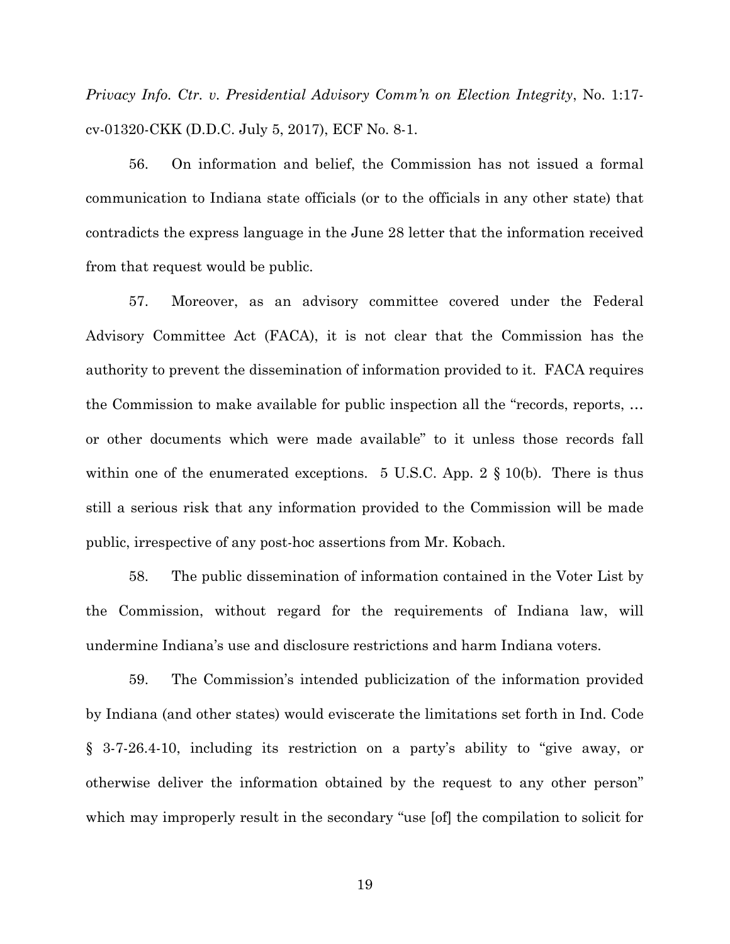*Privacy Info. Ctr. v. Presidential Advisory Comm'n on Election Integrity*, No. 1:17 cv-01320-CKK (D.D.C. July 5, 2017), ECF No. 8-1.

56. On information and belief, the Commission has not issued a formal communication to Indiana state officials (or to the officials in any other state) that contradicts the express language in the June 28 letter that the information received from that request would be public.

57. Moreover, as an advisory committee covered under the Federal Advisory Committee Act (FACA), it is not clear that the Commission has the authority to prevent the dissemination of information provided to it. FACA requires the Commission to make available for public inspection all the "records, reports, … or other documents which were made available" to it unless those records fall within one of the enumerated exceptions. 5 U.S.C. App.  $2 \S 10(b)$ . There is thus still a serious risk that any information provided to the Commission will be made public, irrespective of any post-hoc assertions from Mr. Kobach.

58. The public dissemination of information contained in the Voter List by the Commission, without regard for the requirements of Indiana law, will undermine Indiana's use and disclosure restrictions and harm Indiana voters.

59. The Commission's intended publicization of the information provided by Indiana (and other states) would eviscerate the limitations set forth in Ind. Code § 3-7-26.4-10, including its restriction on a party's ability to "give away, or otherwise deliver the information obtained by the request to any other person" which may improperly result in the secondary "use [of] the compilation to solicit for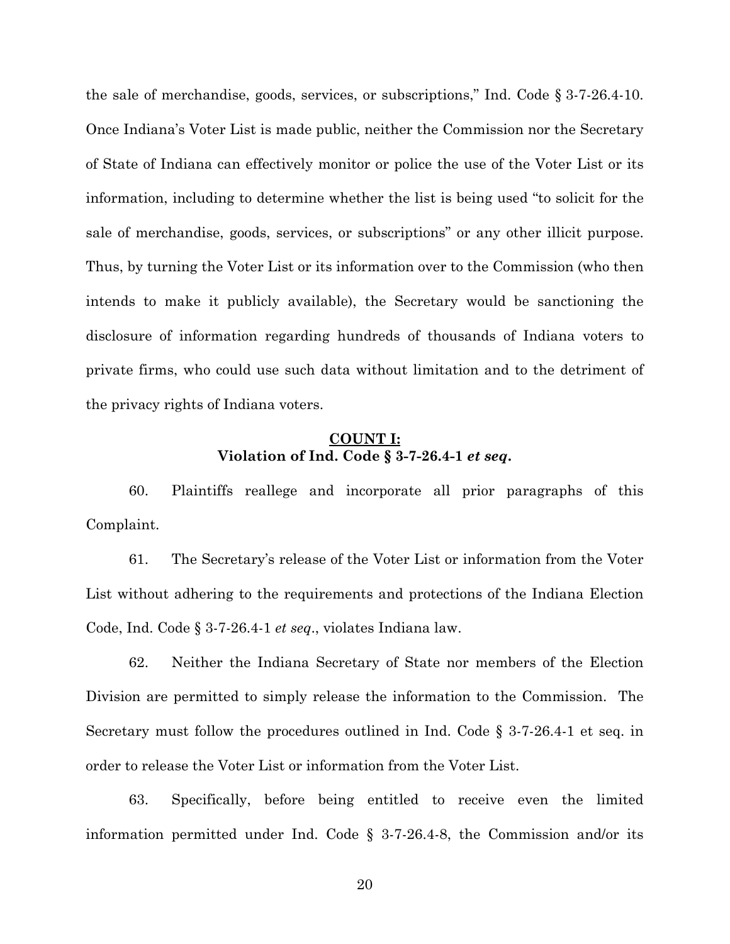the sale of merchandise, goods, services, or subscriptions," Ind. Code § 3-7-26.4-10. Once Indiana's Voter List is made public, neither the Commission nor the Secretary of State of Indiana can effectively monitor or police the use of the Voter List or its information, including to determine whether the list is being used "to solicit for the sale of merchandise, goods, services, or subscriptions" or any other illicit purpose. Thus, by turning the Voter List or its information over to the Commission (who then intends to make it publicly available), the Secretary would be sanctioning the disclosure of information regarding hundreds of thousands of Indiana voters to private firms, who could use such data without limitation and to the detriment of the privacy rights of Indiana voters.

# **COUNT I: Violation of Ind. Code § 3-7-26.4-1** *et seq***.**

60. Plaintiffs reallege and incorporate all prior paragraphs of this Complaint.

61. The Secretary's release of the Voter List or information from the Voter List without adhering to the requirements and protections of the Indiana Election Code, Ind. Code § 3-7-26.4-1 *et seq*., violates Indiana law.

62. Neither the Indiana Secretary of State nor members of the Election Division are permitted to simply release the information to the Commission. The Secretary must follow the procedures outlined in Ind. Code § 3-7-26.4-1 et seq. in order to release the Voter List or information from the Voter List.

63. Specifically, before being entitled to receive even the limited information permitted under Ind. Code  $\S$  3-7-26.4-8, the Commission and/or its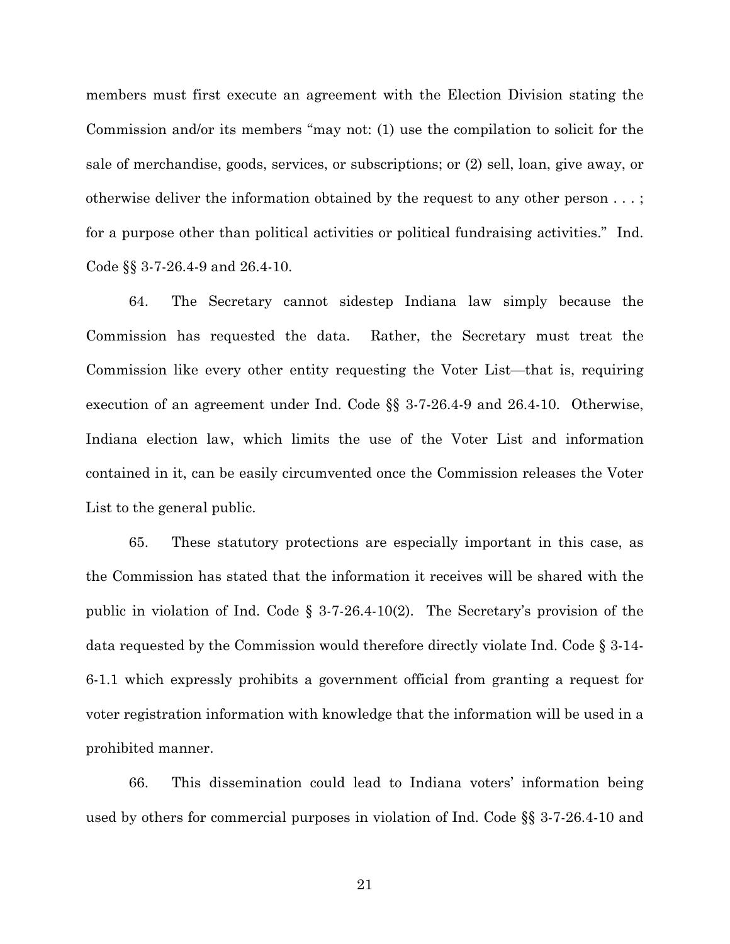members must first execute an agreement with the Election Division stating the Commission and/or its members "may not: (1) use the compilation to solicit for the sale of merchandise, goods, services, or subscriptions; or (2) sell, loan, give away, or otherwise deliver the information obtained by the request to any other person . . . ; for a purpose other than political activities or political fundraising activities." Ind. Code §§ 3-7-26.4-9 and 26.4-10.

64. The Secretary cannot sidestep Indiana law simply because the Commission has requested the data. Rather, the Secretary must treat the Commission like every other entity requesting the Voter List—that is, requiring execution of an agreement under Ind. Code §§ 3-7-26.4-9 and 26.4-10. Otherwise, Indiana election law, which limits the use of the Voter List and information contained in it, can be easily circumvented once the Commission releases the Voter List to the general public.

65. These statutory protections are especially important in this case, as the Commission has stated that the information it receives will be shared with the public in violation of Ind. Code § 3-7-26.4-10(2). The Secretary's provision of the data requested by the Commission would therefore directly violate Ind. Code § 3-14- 6-1.1 which expressly prohibits a government official from granting a request for voter registration information with knowledge that the information will be used in a prohibited manner.

66. This dissemination could lead to Indiana voters' information being used by others for commercial purposes in violation of Ind. Code §§ 3-7-26.4-10 and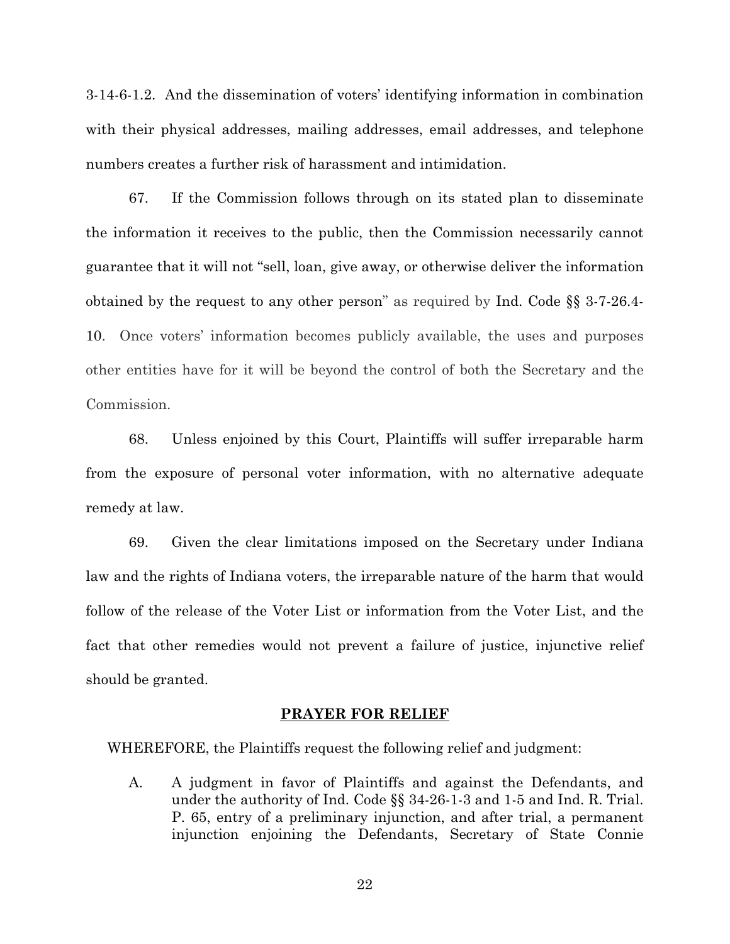3-14-6-1.2. And the dissemination of voters' identifying information in combination with their physical addresses, mailing addresses, email addresses, and telephone numbers creates a further risk of harassment and intimidation.

67. If the Commission follows through on its stated plan to disseminate the information it receives to the public, then the Commission necessarily cannot guarantee that it will not "sell, loan, give away, or otherwise deliver the information obtained by the request to any other person" as required by Ind. Code §§ 3-7-26.4- 10. Once voters' information becomes publicly available, the uses and purposes other entities have for it will be beyond the control of both the Secretary and the Commission.

68. Unless enjoined by this Court, Plaintiffs will suffer irreparable harm from the exposure of personal voter information, with no alternative adequate remedy at law.

69. Given the clear limitations imposed on the Secretary under Indiana law and the rights of Indiana voters, the irreparable nature of the harm that would follow of the release of the Voter List or information from the Voter List, and the fact that other remedies would not prevent a failure of justice, injunctive relief should be granted.

## **PRAYER FOR RELIEF**

WHEREFORE, the Plaintiffs request the following relief and judgment:

A. A judgment in favor of Plaintiffs and against the Defendants, and under the authority of Ind. Code §§ 34-26-1-3 and 1-5 and Ind. R. Trial. P. 65, entry of a preliminary injunction, and after trial, a permanent injunction enjoining the Defendants, Secretary of State Connie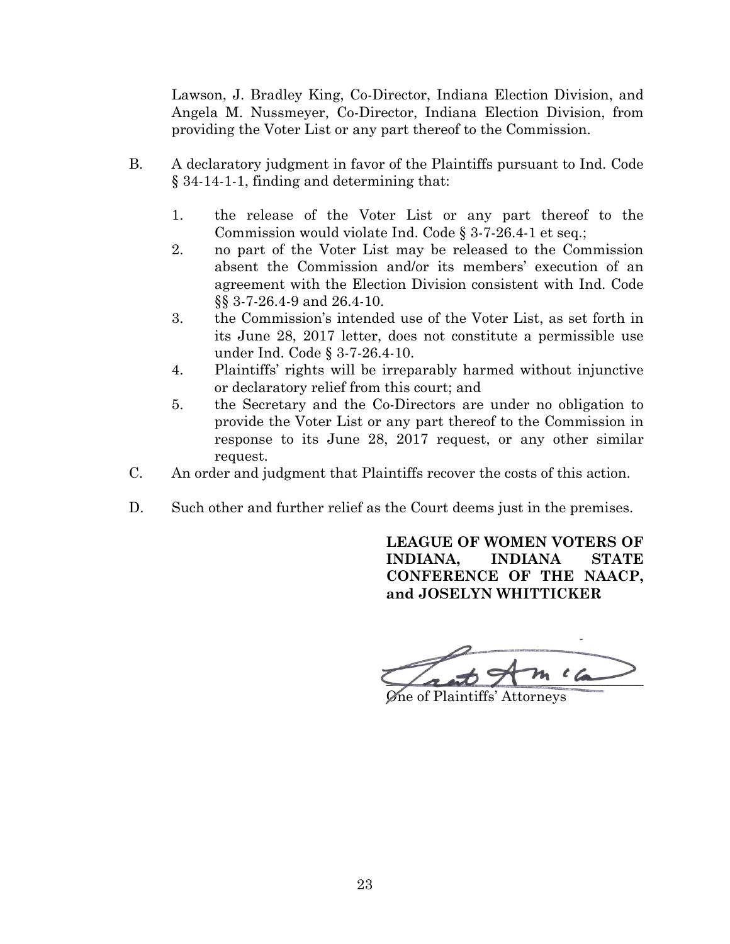Lawson, J. Bradley King, Co-Director, Indiana Election Division, and Angela M. Nussmeyer, Co-Director, Indiana Election Division, from providing the Voter List or any part thereof to the Commission.

- B. A declaratory judgment in favor of the Plaintiffs pursuant to Ind. Code § 34-14-1-1, finding and determining that:
	- 1. the release of the Voter List or any part thereof to the Commission would violate Ind. Code § 3-7-26.4-1 et seq.;
	- 2. no part of the Voter List may be released to the Commission absent the Commission and/or its members' execution of an agreement with the Election Division consistent with Ind. Code §§ 3-7-26.4-9 and 26.4-10.
	- 3. the Commission's intended use of the Voter List, as set forth in its June 28, 2017 letter, does not constitute a permissible use under Ind. Code § 3-7-26.4-10.
	- 4. Plaintiffs' rights will be irreparably harmed without injunctive or declaratory relief from this court; and
	- 5. the Secretary and the Co-Directors are under no obligation to provide the Voter List or any part thereof to the Commission in response to its June 28, 2017 request, or any other similar request.
- C. An order and judgment that Plaintiffs recover the costs of this action.
- D. Such other and further relief as the Court deems just in the premises.

**LEAGUE OF WOMEN VOTERS OF INDIANA, INDIANA STATE CONFERENCE OF THE NAACP, and JOSELYN WHITTICKER** 

 $m\,$   $\,c$   $\,$ 

One of Plaintiffs' Attorneys